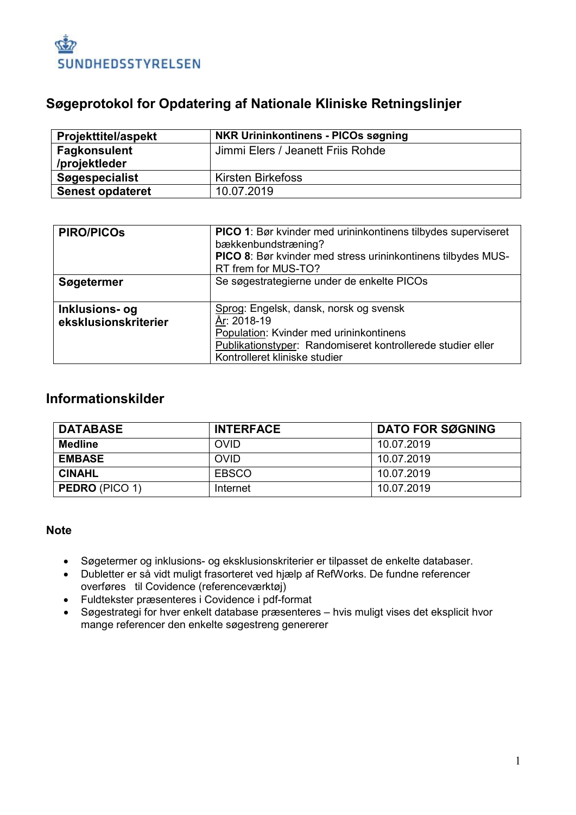

# **Søgeprotokol for Opdatering af Nationale Kliniske Retningslinjer**

| <b>Projekttitel/aspekt</b> | <b>NKR Urininkontinens - PICOs søgning</b> |
|----------------------------|--------------------------------------------|
| <b>Fagkonsulent</b>        | Jimmi Elers / Jeanett Friis Rohde          |
| /projektleder              |                                            |
| <b>Søgespecialist</b>      | <b>Kirsten Birkefoss</b>                   |
| <b>Senest opdateret</b>    | 10.07.2019                                 |

| <b>PIRO/PICOS</b>                      | PICO 1: Bør kvinder med urininkontinens tilbydes superviseret<br>bækkenbundstræning?<br>PICO 8: Bør kvinder med stress urininkontinens tilbydes MUS-<br>RT frem for MUS-TO?                      |
|----------------------------------------|--------------------------------------------------------------------------------------------------------------------------------------------------------------------------------------------------|
| Søgetermer                             | Se søgestrategierne under de enkelte PICOs                                                                                                                                                       |
| Inklusions- og<br>eksklusionskriterier | Sprog: Engelsk, dansk, norsk og svensk<br>År: 2018-19<br>Population: Kvinder med urininkontinens<br>Publikationstyper: Randomiseret kontrollerede studier eller<br>Kontrolleret kliniske studier |

## **Informationskilder**

| <b>DATABASE</b>       | <b>INTERFACE</b> | <b>DATO FOR SØGNING</b> |
|-----------------------|------------------|-------------------------|
| Medline               | <b>OVID</b>      | 10.07.2019              |
| <b>EMBASE</b>         | <b>OVID</b>      | 10.07.2019              |
| <b>CINAHL</b>         | <b>EBSCO</b>     | 10.07.2019              |
| <b>PEDRO</b> (PICO 1) | Internet         | 10.07.2019              |

## **Note**

- Søgetermer og inklusions- og eksklusionskriterier er tilpasset de enkelte databaser.
- Dubletter er så vidt muligt frasorteret ved hjælp af RefWorks. De fundne referencer overføres til Covidence (referenceværktøj)
- Fuldtekster præsenteres i Covidence i pdf-format
- Søgestrategi for hver enkelt database præsenteres hvis muligt vises det eksplicit hvor mange referencer den enkelte søgestreng genererer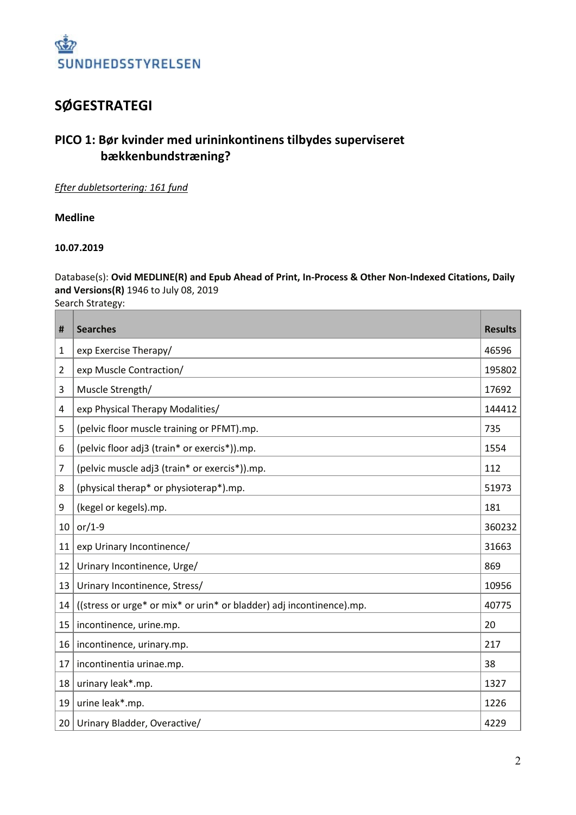

# **SØGESTRATEGI**

# **PICO 1: Bør kvinder med urininkontinens tilbydes superviseret bækkenbundstræning?**

#### *Efter dubletsortering: 161 fund*

#### **Medline**

#### **10.07.2019**

## Database(s): **Ovid MEDLINE(R) and Epub Ahead of Print, In-Process & Other Non-Indexed Citations, Daily and Versions(R)** 1946 to July 08, 2019

Search Strategy:

| #  | <b>Searches</b>                                                      | <b>Results</b> |
|----|----------------------------------------------------------------------|----------------|
| 1  | exp Exercise Therapy/                                                | 46596          |
| 2  | exp Muscle Contraction/                                              | 195802         |
| 3  | Muscle Strength/                                                     | 17692          |
| 4  | exp Physical Therapy Modalities/                                     | 144412         |
| 5  | (pelvic floor muscle training or PFMT).mp.                           | 735            |
| 6  | (pelvic floor adj3 (train* or exercis*)).mp.                         | 1554           |
| 7  | (pelvic muscle adj3 (train* or exercis*)).mp.                        | 112            |
| 8  | (physical therap* or physioterap*).mp.                               | 51973          |
| 9  | (kegel or kegels).mp.                                                | 181            |
| 10 | or/1-9                                                               | 360232         |
| 11 | exp Urinary Incontinence/                                            | 31663          |
| 12 | Urinary Incontinence, Urge/                                          | 869            |
| 13 | Urinary Incontinence, Stress/                                        | 10956          |
| 14 | ((stress or urge* or mix* or urin* or bladder) adj incontinence).mp. | 40775          |
| 15 | incontinence, urine.mp.                                              | 20             |
| 16 | incontinence, urinary.mp.                                            | 217            |
| 17 | incontinentia urinae.mp.                                             | 38             |
| 18 | urinary leak*.mp.                                                    | 1327           |
| 19 | urine leak*.mp.                                                      | 1226           |
| 20 | Urinary Bladder, Overactive/                                         | 4229           |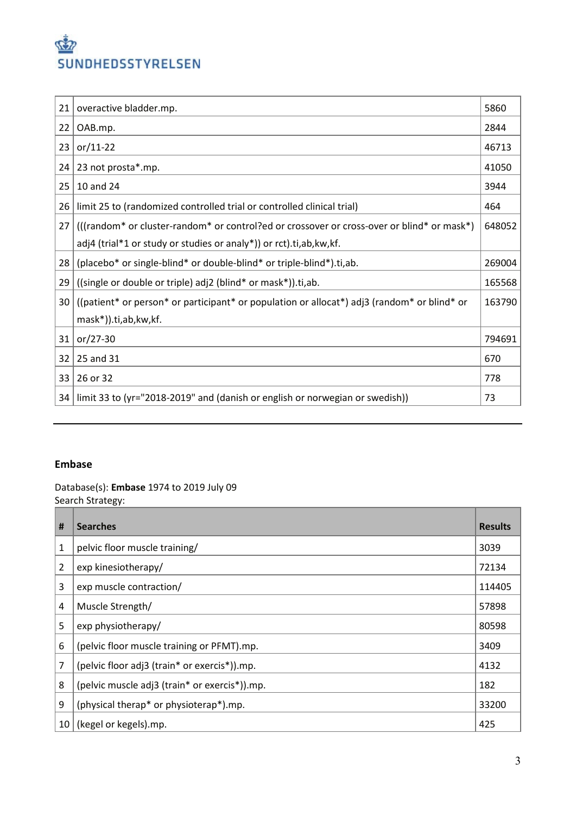

| 21 | overactive bladder.mp.                                                                      | 5860   |
|----|---------------------------------------------------------------------------------------------|--------|
| 22 | OAB.mp.                                                                                     | 2844   |
| 23 | $or/11-22$                                                                                  | 46713  |
| 24 | 23 not prosta*.mp.                                                                          | 41050  |
| 25 | 10 and 24                                                                                   | 3944   |
| 26 | limit 25 to (randomized controlled trial or controlled clinical trial)                      | 464    |
| 27 | (((random* or cluster-random* or control?ed or crossover or cross-over or blind* or mask*)  | 648052 |
|    | adj4 (trial*1 or study or studies or analy*)) or rct).ti,ab, kw, kf.                        |        |
| 28 | (placebo* or single-blind* or double-blind* or triple-blind*).ti,ab.                        | 269004 |
| 29 | ((single or double or triple) adj2 (blind* or mask*)).ti,ab.                                | 165568 |
| 30 | ((patient* or person* or participant* or population or allocat*) adj3 (random* or blind* or | 163790 |
|    | mask*)).ti,ab,kw,kf.                                                                        |        |
| 31 | $or/27-30$                                                                                  | 794691 |
| 32 | 25 and 31                                                                                   | 670    |
| 33 | 26 or 32                                                                                    | 778    |
| 34 | limit 33 to (yr="2018-2019" and (danish or english or norwegian or swedish))                | 73     |

## **Embase**

Database(s): **Embase** 1974 to 2019 July 09 Search Strategy:

| #              | <b>Searches</b>                               | <b>Results</b> |
|----------------|-----------------------------------------------|----------------|
| 1              | pelvic floor muscle training/                 | 3039           |
| $\overline{2}$ | exp kinesiotherapy/                           | 72134          |
| 3              | exp muscle contraction/                       | 114405         |
| 4              | Muscle Strength/                              | 57898          |
| 5              | exp physiotherapy/                            | 80598          |
| 6              | (pelvic floor muscle training or PFMT).mp.    | 3409           |
| 7              | (pelvic floor adj3 (train* or exercis*)).mp.  | 4132           |
| 8              | (pelvic muscle adj3 (train* or exercis*)).mp. | 182            |
| 9              | (physical therap* or physioterap*).mp.        | 33200          |
| 10             | (kegel or kegels).mp.                         | 425            |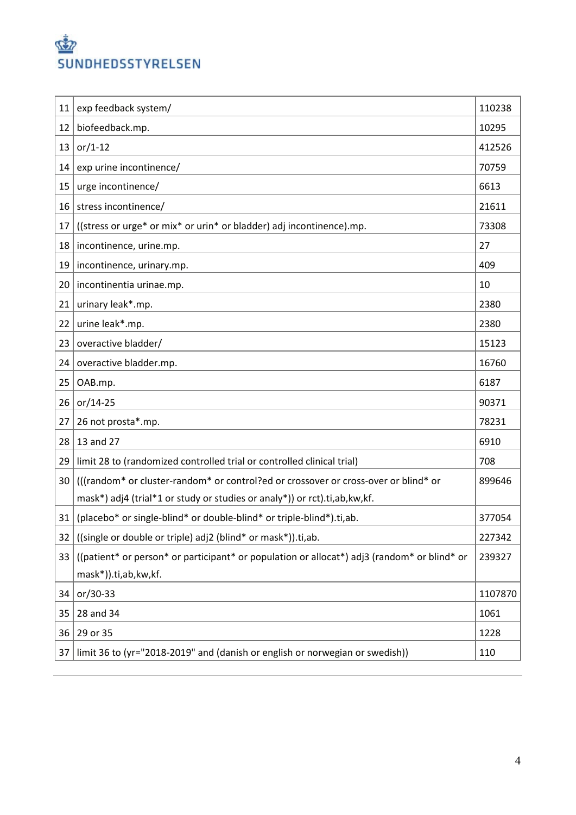

| 11 | exp feedback system/                                                                        | 110238  |
|----|---------------------------------------------------------------------------------------------|---------|
| 12 | biofeedback.mp.                                                                             | 10295   |
| 13 | $or/1-12$                                                                                   | 412526  |
| 14 | exp urine incontinence/                                                                     | 70759   |
| 15 | urge incontinence/                                                                          | 6613    |
| 16 | stress incontinence/                                                                        | 21611   |
| 17 | ((stress or urge* or mix* or urin* or bladder) adj incontinence).mp.                        | 73308   |
| 18 | incontinence, urine.mp.                                                                     | 27      |
| 19 | incontinence, urinary.mp.                                                                   | 409     |
| 20 | incontinentia urinae.mp.                                                                    | 10      |
| 21 | urinary leak*.mp.                                                                           | 2380    |
| 22 | urine leak*.mp.                                                                             | 2380    |
| 23 | overactive bladder/                                                                         | 15123   |
| 24 | overactive bladder.mp.                                                                      | 16760   |
| 25 | OAB.mp.                                                                                     | 6187    |
| 26 | $or/14-25$                                                                                  | 90371   |
| 27 | 26 not prosta*.mp.                                                                          | 78231   |
| 28 | 13 and 27                                                                                   | 6910    |
| 29 | limit 28 to (randomized controlled trial or controlled clinical trial)                      | 708     |
| 30 | (((random* or cluster-random* or control?ed or crossover or cross-over or blind* or         | 899646  |
|    | mask*) adj4 (trial*1 or study or studies or analy*)) or rct).ti,ab, kw, kf.                 |         |
| 31 | (placebo* or single-blind* or double-blind* or triple-blind*).ti,ab.                        | 377054  |
| 32 | ((single or double or triple) adj2 (blind* or mask*)).ti,ab.                                | 227342  |
| 33 | ((patient* or person* or participant* or population or allocat*) adj3 (random* or blind* or | 239327  |
|    | mask*)).ti,ab,kw,kf.                                                                        |         |
| 34 | or/30-33                                                                                    | 1107870 |
| 35 | 28 and 34                                                                                   | 1061    |
| 36 | 29 or 35                                                                                    | 1228    |
| 37 | limit 36 to (yr="2018-2019" and (danish or english or norwegian or swedish))                | 110     |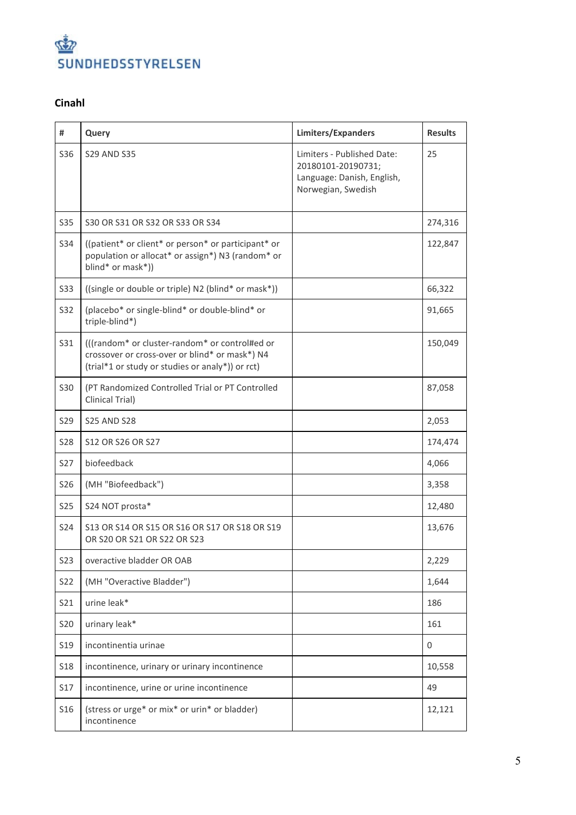

## **Cinahl**

| #               | Query                                                                                                                                                | Limiters/Expanders                                                                                   | <b>Results</b> |
|-----------------|------------------------------------------------------------------------------------------------------------------------------------------------------|------------------------------------------------------------------------------------------------------|----------------|
| S36             | <b>S29 AND S35</b>                                                                                                                                   | Limiters - Published Date:<br>20180101-20190731;<br>Language: Danish, English,<br>Norwegian, Swedish | 25             |
| S35             | S30 OR S31 OR S32 OR S33 OR S34                                                                                                                      |                                                                                                      | 274,316        |
| S34             | ((patient* or client* or person* or participant* or<br>population or allocat* or assign*) N3 (random* or<br>blind* or mask*))                        |                                                                                                      | 122,847        |
| <b>S33</b>      | ((single or double or triple) N2 (blind* or mask*))                                                                                                  |                                                                                                      | 66,322         |
| <b>S32</b>      | (placebo* or single-blind* or double-blind* or<br>triple-blind*)                                                                                     |                                                                                                      | 91,665         |
| S31             | (((random* or cluster-random* or control#ed or<br>crossover or cross-over or blind* or mask*) N4<br>(trial*1 or study or studies or analy*)) or rct) |                                                                                                      | 150,049        |
| <b>S30</b>      | (PT Randomized Controlled Trial or PT Controlled<br>Clinical Trial)                                                                                  |                                                                                                      | 87,058         |
| S <sub>29</sub> | <b>S25 AND S28</b>                                                                                                                                   |                                                                                                      | 2,053          |
| <b>S28</b>      | S12 OR S26 OR S27                                                                                                                                    |                                                                                                      | 174,474        |
| <b>S27</b>      | biofeedback                                                                                                                                          |                                                                                                      | 4,066          |
| S26             | (MH "Biofeedback")                                                                                                                                   |                                                                                                      | 3,358          |
| <b>S25</b>      | S24 NOT prosta*                                                                                                                                      |                                                                                                      | 12,480         |
| S24             | \$13 OR \$14 OR \$15 OR \$16 OR \$17 OR \$18 OR \$19<br>OR S20 OR S21 OR S22 OR S23                                                                  |                                                                                                      | 13,676         |
| <b>S23</b>      | overactive bladder OR OAB                                                                                                                            |                                                                                                      | 2,229          |
| S22             | (MH "Overactive Bladder")                                                                                                                            |                                                                                                      | 1,644          |
| S21             | urine leak*                                                                                                                                          |                                                                                                      | 186            |
| S20             | urinary leak*                                                                                                                                        |                                                                                                      | 161            |
| S <sub>19</sub> | incontinentia urinae                                                                                                                                 |                                                                                                      | 0              |
| <b>S18</b>      | incontinence, urinary or urinary incontinence                                                                                                        |                                                                                                      | 10,558         |
| <b>S17</b>      | incontinence, urine or urine incontinence                                                                                                            |                                                                                                      | 49             |
| S <sub>16</sub> | (stress or urge* or mix* or urin* or bladder)<br>incontinence                                                                                        |                                                                                                      | 12,121         |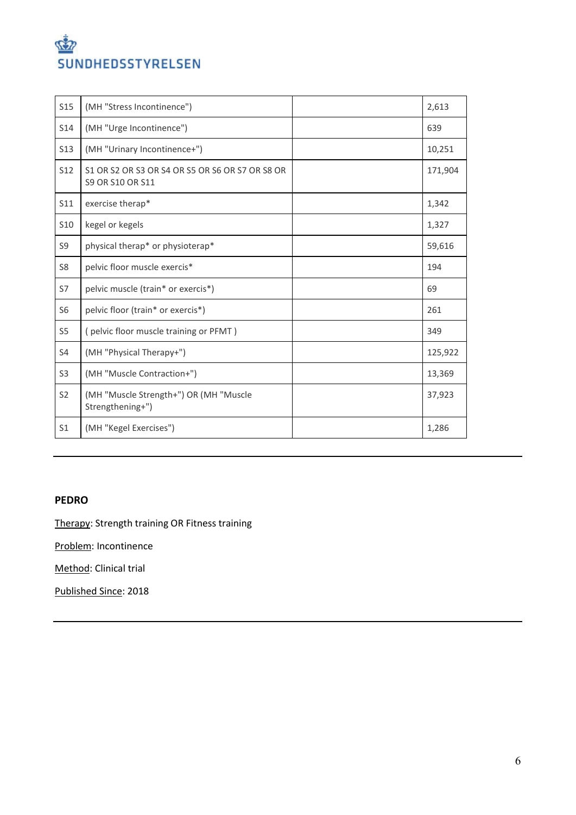

| <b>S15</b>      | (MH "Stress Incontinence")                                                 | 2,613   |
|-----------------|----------------------------------------------------------------------------|---------|
| S14             | (MH "Urge Incontinence")                                                   | 639     |
| <b>S13</b>      | (MH "Urinary Incontinence+")                                               | 10,251  |
| S <sub>12</sub> | S1 OR S2 OR S3 OR S4 OR S5 OR S6 OR S7 OR S8 OR<br><b>S9 OR S10 OR S11</b> | 171,904 |
| S11             | exercise therap*                                                           | 1,342   |
| S <sub>10</sub> | kegel or kegels                                                            | 1,327   |
| S9              | physical therap* or physioterap*                                           | 59,616  |
| S <sub>8</sub>  | pelvic floor muscle exercis*                                               | 194     |
| S7              | pelvic muscle (train* or exercis*)                                         | 69      |
| S <sub>6</sub>  | pelvic floor (train* or exercis*)                                          | 261     |
| S <sub>5</sub>  | (pelvic floor muscle training or PFMT)                                     | 349     |
| S4              | (MH "Physical Therapy+")                                                   | 125,922 |
| S <sub>3</sub>  | (MH "Muscle Contraction+")                                                 | 13,369  |
| S <sub>2</sub>  | (MH "Muscle Strength+") OR (MH "Muscle<br>Strengthening+")                 | 37,923  |
| S <sub>1</sub>  | (MH "Kegel Exercises")                                                     | 1,286   |

### **PEDRO**

Therapy: Strength training OR Fitness training

Problem: Incontinence

Method: Clinical trial

Published Since: 2018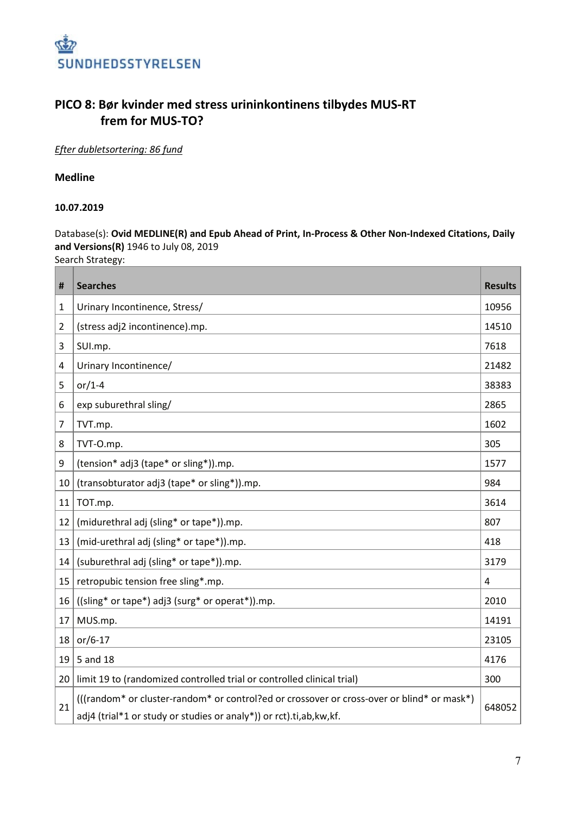

## **PICO 8: Bør kvinder med stress urininkontinens tilbydes MUS-RT frem for MUS-TO?**

*Efter dubletsortering: 86 fund*

### **Medline**

#### **10.07.2019**

Database(s): **Ovid MEDLINE(R) and Epub Ahead of Print, In-Process & Other Non-Indexed Citations, Daily and Versions(R)** 1946 to July 08, 2019

Search Strategy:

| #              | <b>Searches</b>                                                                                                                                                    | <b>Results</b> |
|----------------|--------------------------------------------------------------------------------------------------------------------------------------------------------------------|----------------|
| 1              | Urinary Incontinence, Stress/                                                                                                                                      | 10956          |
| $\overline{2}$ | (stress adj2 incontinence).mp.                                                                                                                                     | 14510          |
| 3              | SUI.mp.                                                                                                                                                            | 7618           |
| 4              | Urinary Incontinence/                                                                                                                                              | 21482          |
| 5              | or/1-4                                                                                                                                                             | 38383          |
| 6              | exp suburethral sling/                                                                                                                                             | 2865           |
| 7              | TVT.mp.                                                                                                                                                            | 1602           |
| 8              | TVT-O.mp.                                                                                                                                                          | 305            |
| 9              | (tension* adj3 (tape* or sling*)).mp.                                                                                                                              | 1577           |
| 10             | (transobturator adj3 (tape* or sling*)).mp.                                                                                                                        | 984            |
| 11             | TOT.mp.                                                                                                                                                            | 3614           |
| 12             | (midurethral adj (sling* or tape*)).mp.                                                                                                                            | 807            |
| 13             | (mid-urethral adj (sling* or tape*)).mp.                                                                                                                           | 418            |
| 14             | (suburethral adj (sling* or tape*)).mp.                                                                                                                            | 3179           |
| 15             | retropubic tension free sling*.mp.                                                                                                                                 | 4              |
| 16             | ((sling* or tape*) adj3 (surg* or operat*)).mp.                                                                                                                    | 2010           |
| 17             | MUS.mp.                                                                                                                                                            | 14191          |
| 18             | $or/6-17$                                                                                                                                                          | 23105          |
| 19             | 5 and 18                                                                                                                                                           | 4176           |
| 20             | limit 19 to (randomized controlled trial or controlled clinical trial)                                                                                             | 300            |
| 21             | (((random* or cluster-random* or control?ed or crossover or cross-over or blind* or mask*)<br>adj4 (trial*1 or study or studies or analy*)) or rct).ti,ab, kw, kf. | 648052         |

π

T.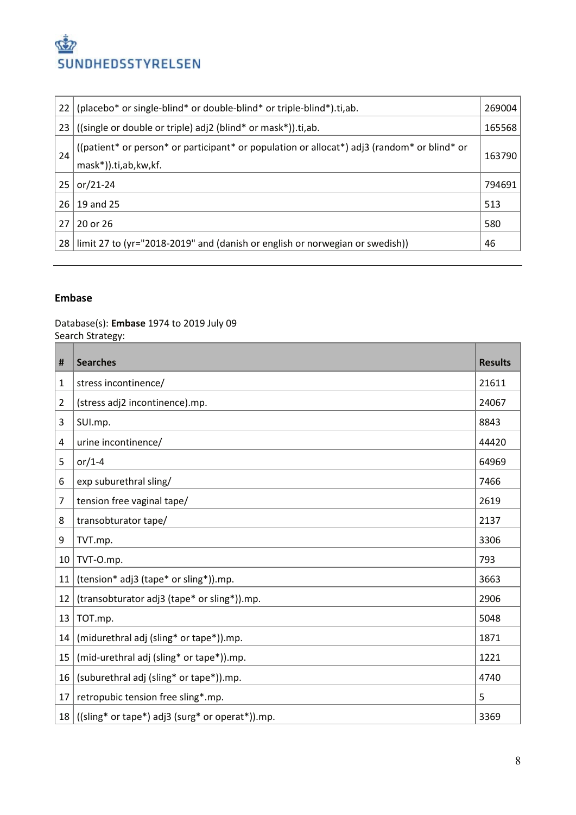

| 22 | (placebo* or single-blind* or double-blind* or triple-blind*).ti,ab.                                                | 269004 |
|----|---------------------------------------------------------------------------------------------------------------------|--------|
| 23 | ((single or double or triple) adj2 (blind* or mask*)).ti,ab.                                                        | 165568 |
| 24 | ((patient* or person* or participant* or population or allocat*) adj3 (random* or blind* or<br>mask*)).ti,ab,kw,kf. | 163790 |
| 25 | $or/21-24$                                                                                                          | 794691 |
| 26 | 19 and 25                                                                                                           | 513    |
| 27 | 20 or 26                                                                                                            | 580    |
| 28 | limit 27 to (yr="2018-2019" and (danish or english or norwegian or swedish))                                        | 46     |

#### **Embase**

Database(s): **Embase** 1974 to 2019 July 09 Search Strategy:

| #  | <b>Searches</b>                                 | <b>Results</b> |
|----|-------------------------------------------------|----------------|
| 1  | stress incontinence/                            | 21611          |
| 2  | (stress adj2 incontinence).mp.                  | 24067          |
| 3  | SUI.mp.                                         | 8843           |
| 4  | urine incontinence/                             | 44420          |
| 5  | or/1-4                                          | 64969          |
| 6  | exp suburethral sling/                          | 7466           |
| 7  | tension free vaginal tape/                      | 2619           |
| 8  | transobturator tape/                            | 2137           |
| 9  | TVT.mp.                                         | 3306           |
| 10 | TVT-O.mp.                                       | 793            |
| 11 | (tension* adj3 (tape* or sling*)).mp.           | 3663           |
| 12 | (transobturator adj3 (tape* or sling*)).mp.     | 2906           |
| 13 | TOT.mp.                                         | 5048           |
| 14 | (midurethral adj (sling* or tape*)).mp.         | 1871           |
| 15 | (mid-urethral adj (sling* or tape*)).mp.        | 1221           |
| 16 | (suburethral adj (sling* or tape*)).mp.         | 4740           |
| 17 | retropubic tension free sling*.mp.              | 5              |
| 18 | ((sling* or tape*) adj3 (surg* or operat*)).mp. | 3369           |

T.

 $\overline{ }$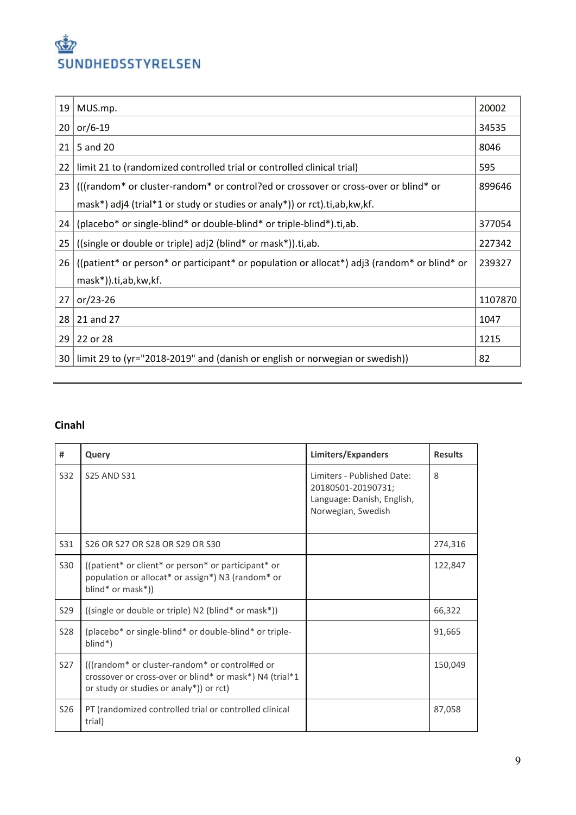# روقي SUNDHEDSSTYRELSEN

| 19 | MUS.mp.                                                                                     | 20002   |
|----|---------------------------------------------------------------------------------------------|---------|
| 20 | or/6-19                                                                                     | 34535   |
| 21 | 5 and 20                                                                                    | 8046    |
| 22 | limit 21 to (randomized controlled trial or controlled clinical trial)                      | 595     |
| 23 | (((random* or cluster-random* or control?ed or crossover or cross-over or blind* or         | 899646  |
|    | mask*) adj4 (trial*1 or study or studies or analy*)) or rct).ti, ab, kw, kf.                |         |
| 24 | (placebo* or single-blind* or double-blind* or triple-blind*).ti,ab.                        | 377054  |
| 25 | ((single or double or triple) adj2 (blind* or mask*)).ti,ab.                                | 227342  |
| 26 | ((patient* or person* or participant* or population or allocat*) adj3 (random* or blind* or | 239327  |
|    | mask*)).ti,ab,kw,kf.                                                                        |         |
| 27 | $or/23-26$                                                                                  | 1107870 |
| 28 | 21 and 27                                                                                   | 1047    |
| 29 | 22 or 28                                                                                    | 1215    |
| 30 | limit 29 to (yr="2018-2019" and (danish or english or norwegian or swedish))                | 82      |

# **Cinahl**

| #               | Query                                                                                                                                                | Limiters/Expanders                                                                                   | <b>Results</b> |
|-----------------|------------------------------------------------------------------------------------------------------------------------------------------------------|------------------------------------------------------------------------------------------------------|----------------|
| S32             | <b>S25 AND S31</b>                                                                                                                                   | Limiters - Published Date:<br>20180501-20190731;<br>Language: Danish, English,<br>Norwegian, Swedish | 8              |
| S31             | S26 OR S27 OR S28 OR S29 OR S30                                                                                                                      |                                                                                                      | 274,316        |
| <b>S30</b>      | ((patient* or client* or person* or participant* or<br>population or allocat* or assign*) N3 (random* or<br>blind* or mask*))                        |                                                                                                      | 122,847        |
| S29             | ((single or double or triple) N2 (blind* or mask*))                                                                                                  |                                                                                                      | 66,322         |
| <b>S28</b>      | (placebo <sup>*</sup> or single-blind <sup>*</sup> or double-blind <sup>*</sup> or triple-<br>$blind^*)$                                             |                                                                                                      | 91,665         |
| S <sub>27</sub> | (((random* or cluster-random* or control#ed or<br>crossover or cross-over or blind* or mask*) N4 (trial*1<br>or study or studies or analy*)) or rct) |                                                                                                      | 150,049        |
| S <sub>26</sub> | PT (randomized controlled trial or controlled clinical<br>trial)                                                                                     |                                                                                                      | 87,058         |